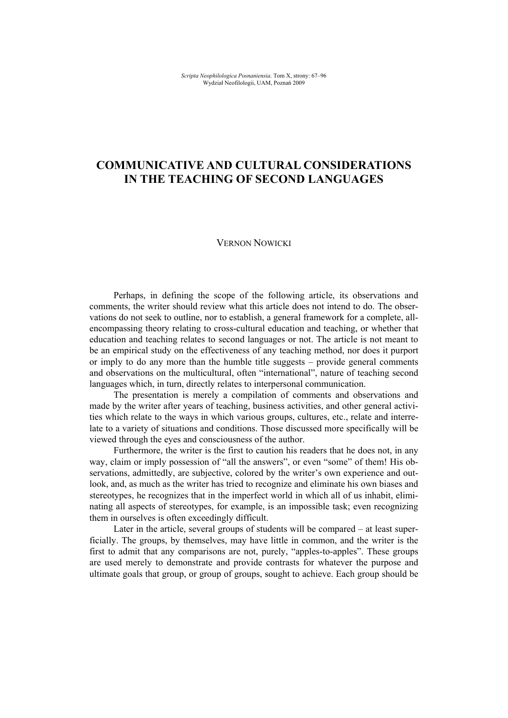# **COMMUNICATIVE AND CULTURAL CONSIDERATIONS IN THE TEACHING OF SECOND LANGUAGES**

#### VERNON NOWICKI

Perhaps, in defining the scope of the following article, its observations and comments, the writer should review what this article does not intend to do. The observations do not seek to outline, nor to establish, a general framework for a complete, allencompassing theory relating to cross-cultural education and teaching, or whether that education and teaching relates to second languages or not. The article is not meant to be an empirical study on the effectiveness of any teaching method, nor does it purport or imply to do any more than the humble title suggests – provide general comments and observations on the multicultural, often "international", nature of teaching second languages which, in turn, directly relates to interpersonal communication.

The presentation is merely a compilation of comments and observations and made by the writer after years of teaching, business activities, and other general activities which relate to the ways in which various groups, cultures, etc., relate and interrelate to a variety of situations and conditions. Those discussed more specifically will be viewed through the eyes and consciousness of the author.

Furthermore, the writer is the first to caution his readers that he does not, in any way, claim or imply possession of "all the answers", or even "some" of them! His observations, admittedly, are subjective, colored by the writer's own experience and outlook, and, as much as the writer has tried to recognize and eliminate his own biases and stereotypes, he recognizes that in the imperfect world in which all of us inhabit, eliminating all aspects of stereotypes, for example, is an impossible task; even recognizing them in ourselves is often exceedingly difficult.

Later in the article, several groups of students will be compared – at least superficially. The groups, by themselves, may have little in common, and the writer is the first to admit that any comparisons are not, purely, "apples-to-apples". These groups are used merely to demonstrate and provide contrasts for whatever the purpose and ultimate goals that group, or group of groups, sought to achieve. Each group should be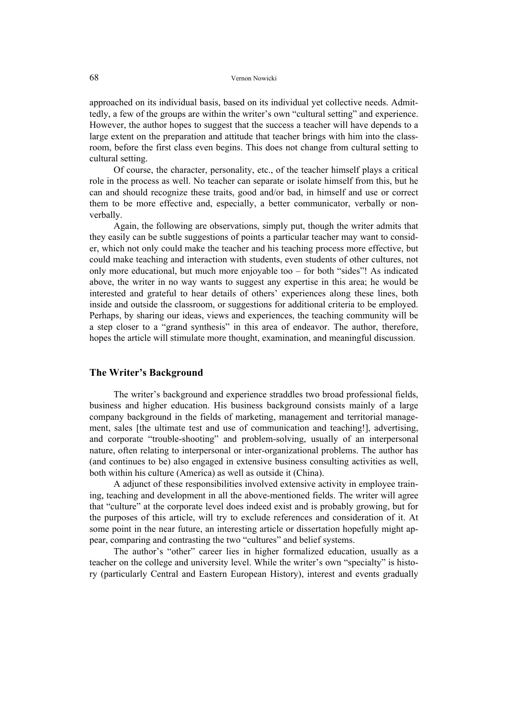approached on its individual basis, based on its individual yet collective needs. Admittedly, a few of the groups are within the writer's own "cultural setting" and experience. However, the author hopes to suggest that the success a teacher will have depends to a large extent on the preparation and attitude that teacher brings with him into the classroom, before the first class even begins. This does not change from cultural setting to cultural setting.

Of course, the character, personality, etc., of the teacher himself plays a critical role in the process as well. No teacher can separate or isolate himself from this, but he can and should recognize these traits, good and/or bad, in himself and use or correct them to be more effective and, especially, a better communicator, verbally or nonverbally.

Again, the following are observations, simply put, though the writer admits that they easily can be subtle suggestions of points a particular teacher may want to consider, which not only could make the teacher and his teaching process more effective, but could make teaching and interaction with students, even students of other cultures, not only more educational, but much more enjoyable too – for both "sides"! As indicated above, the writer in no way wants to suggest any expertise in this area; he would be interested and grateful to hear details of others' experiences along these lines, both inside and outside the classroom, or suggestions for additional criteria to be employed. Perhaps, by sharing our ideas, views and experiences, the teaching community will be a step closer to a "grand synthesis" in this area of endeavor. The author, therefore, hopes the article will stimulate more thought, examination, and meaningful discussion.

### **The Writer's Background**

The writer's background and experience straddles two broad professional fields, business and higher education. His business background consists mainly of a large company background in the fields of marketing, management and territorial management, sales [the ultimate test and use of communication and teaching!], advertising, and corporate "trouble-shooting" and problem-solving, usually of an interpersonal nature, often relating to interpersonal or inter-organizational problems. The author has (and continues to be) also engaged in extensive business consulting activities as well, both within his culture (America) as well as outside it (China).

A adjunct of these responsibilities involved extensive activity in employee training, teaching and development in all the above-mentioned fields. The writer will agree that "culture" at the corporate level does indeed exist and is probably growing, but for the purposes of this article, will try to exclude references and consideration of it. At some point in the near future, an interesting article or dissertation hopefully might appear, comparing and contrasting the two "cultures" and belief systems.

The author's "other" career lies in higher formalized education, usually as a teacher on the college and university level. While the writer's own "specialty" is history (particularly Central and Eastern European History), interest and events gradually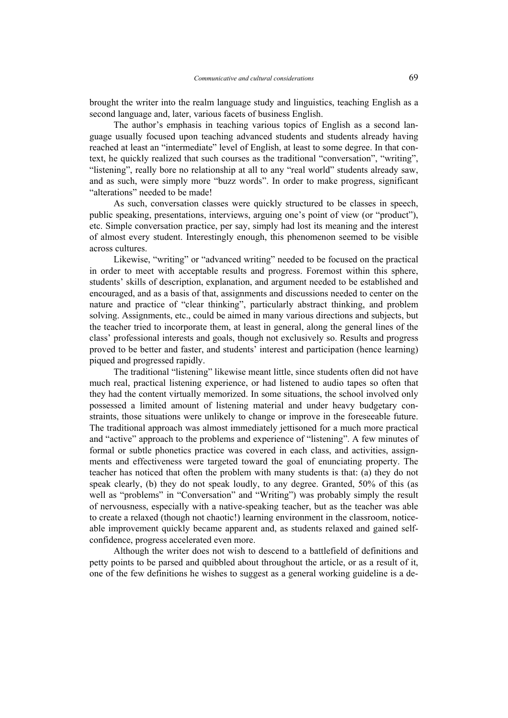brought the writer into the realm language study and linguistics, teaching English as a second language and, later, various facets of business English.

The author's emphasis in teaching various topics of English as a second language usually focused upon teaching advanced students and students already having reached at least an "intermediate" level of English, at least to some degree. In that context, he quickly realized that such courses as the traditional "conversation", "writing", "listening", really bore no relationship at all to any "real world" students already saw, and as such, were simply more "buzz words". In order to make progress, significant "alterations" needed to be made!

As such, conversation classes were quickly structured to be classes in speech, public speaking, presentations, interviews, arguing one's point of view (or "product"), etc. Simple conversation practice, per say, simply had lost its meaning and the interest of almost every student. Interestingly enough, this phenomenon seemed to be visible across cultures.

Likewise, "writing" or "advanced writing" needed to be focused on the practical in order to meet with acceptable results and progress. Foremost within this sphere, students' skills of description, explanation, and argument needed to be established and encouraged, and as a basis of that, assignments and discussions needed to center on the nature and practice of "clear thinking", particularly abstract thinking, and problem solving. Assignments, etc., could be aimed in many various directions and subjects, but the teacher tried to incorporate them, at least in general, along the general lines of the class' professional interests and goals, though not exclusively so. Results and progress proved to be better and faster, and students' interest and participation (hence learning) piqued and progressed rapidly.

The traditional "listening" likewise meant little, since students often did not have much real, practical listening experience, or had listened to audio tapes so often that they had the content virtually memorized. In some situations, the school involved only possessed a limited amount of listening material and under heavy budgetary constraints, those situations were unlikely to change or improve in the foreseeable future. The traditional approach was almost immediately jettisoned for a much more practical and "active" approach to the problems and experience of "listening". A few minutes of formal or subtle phonetics practice was covered in each class, and activities, assignments and effectiveness were targeted toward the goal of enunciating property. The teacher has noticed that often the problem with many students is that: (a) they do not speak clearly, (b) they do not speak loudly, to any degree. Granted, 50% of this (as well as "problems" in "Conversation" and "Writing") was probably simply the result of nervousness, especially with a native-speaking teacher, but as the teacher was able to create a relaxed (though not chaotic!) learning environment in the classroom, noticeable improvement quickly became apparent and, as students relaxed and gained selfconfidence, progress accelerated even more.

Although the writer does not wish to descend to a battlefield of definitions and petty points to be parsed and quibbled about throughout the article, or as a result of it, one of the few definitions he wishes to suggest as a general working guideline is a de-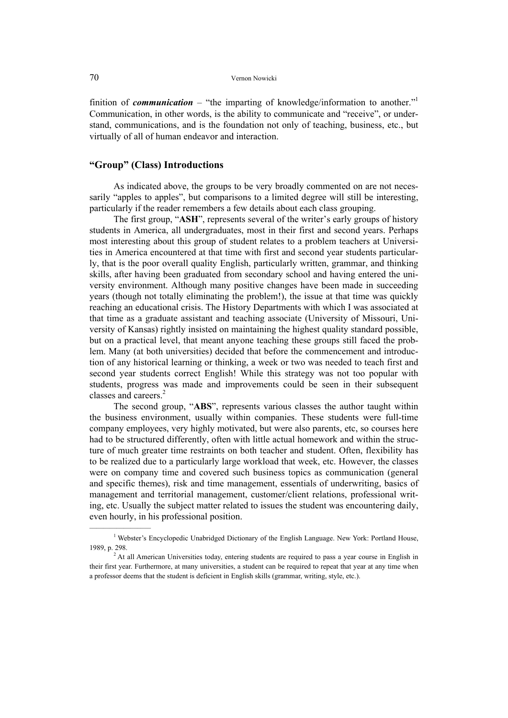#### 70 Vernon Nowicki

finition of *communication* – "the imparting of knowledge/information to another."<sup>1</sup> Communication, in other words, is the ability to communicate and "receive", or understand, communications, and is the foundation not only of teaching, business, etc., but virtually of all of human endeavor and interaction.

#### **"Group" (Class) Introductions**

 $\mathcal{L}=\mathcal{L}^{\mathcal{L}}$  , where  $\mathcal{L}^{\mathcal{L}}$  , we have the set of the set of the set of the set of the set of the set of the set of the set of the set of the set of the set of the set of the set of the set of the set of

As indicated above, the groups to be very broadly commented on are not necessarily "apples to apples", but comparisons to a limited degree will still be interesting, particularly if the reader remembers a few details about each class grouping.

The first group, "**ASH**", represents several of the writer's early groups of history students in America, all undergraduates, most in their first and second years. Perhaps most interesting about this group of student relates to a problem teachers at Universities in America encountered at that time with first and second year students particularly, that is the poor overall quality English, particularly written, grammar, and thinking skills, after having been graduated from secondary school and having entered the university environment. Although many positive changes have been made in succeeding years (though not totally eliminating the problem!), the issue at that time was quickly reaching an educational crisis. The History Departments with which I was associated at that time as a graduate assistant and teaching associate (University of Missouri, University of Kansas) rightly insisted on maintaining the highest quality standard possible, but on a practical level, that meant anyone teaching these groups still faced the problem. Many (at both universities) decided that before the commencement and introduction of any historical learning or thinking, a week or two was needed to teach first and second year students correct English! While this strategy was not too popular with students, progress was made and improvements could be seen in their subsequent classes and careers.<sup>2</sup>

The second group, "**ABS**", represents various classes the author taught within the business environment, usually within companies. These students were full-time company employees, very highly motivated, but were also parents, etc, so courses here had to be structured differently, often with little actual homework and within the structure of much greater time restraints on both teacher and student. Often, flexibility has to be realized due to a particularly large workload that week, etc. However, the classes were on company time and covered such business topics as communication (general and specific themes), risk and time management, essentials of underwriting, basics of management and territorial management, customer/client relations, professional writing, etc. Usually the subject matter related to issues the student was encountering daily, even hourly, in his professional position.

<sup>&</sup>lt;sup>1</sup> Webster's Encyclopedic Unabridged Dictionary of the English Language. New York: Portland House, 1989, p. 298. 2

<sup>&</sup>lt;sup>2</sup> At all American Universities today, entering students are required to pass a year course in English in their first year. Furthermore, at many universities, a student can be required to repeat that year at any time when a professor deems that the student is deficient in English skills (grammar, writing, style, etc.).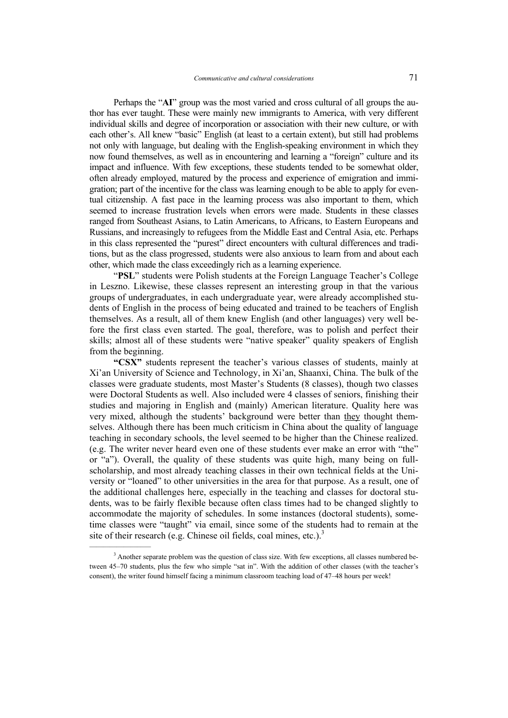Perhaps the "**AI**" group was the most varied and cross cultural of all groups the author has ever taught. These were mainly new immigrants to America, with very different individual skills and degree of incorporation or association with their new culture, or with each other's. All knew "basic" English (at least to a certain extent), but still had problems not only with language, but dealing with the English-speaking environment in which they now found themselves, as well as in encountering and learning a "foreign" culture and its impact and influence. With few exceptions, these students tended to be somewhat older, often already employed, matured by the process and experience of emigration and immigration; part of the incentive for the class was learning enough to be able to apply for eventual citizenship. A fast pace in the learning process was also important to them, which seemed to increase frustration levels when errors were made. Students in these classes ranged from Southeast Asians, to Latin Americans, to Africans, to Eastern Europeans and Russians, and increasingly to refugees from the Middle East and Central Asia, etc. Perhaps in this class represented the "purest" direct encounters with cultural differences and traditions, but as the class progressed, students were also anxious to learn from and about each other, which made the class exceedingly rich as a learning experience.

"**PSL**" students were Polish students at the Foreign Language Teacher's College in Leszno. Likewise, these classes represent an interesting group in that the various groups of undergraduates, in each undergraduate year, were already accomplished students of English in the process of being educated and trained to be teachers of English themselves. As a result, all of them knew English (and other languages) very well before the first class even started. The goal, therefore, was to polish and perfect their skills; almost all of these students were "native speaker" quality speakers of English from the beginning.

**"CSX"** students represent the teacher's various classes of students, mainly at Xi'an University of Science and Technology, in Xi'an, Shaanxi, China. The bulk of the classes were graduate students, most Master's Students (8 classes), though two classes were Doctoral Students as well. Also included were 4 classes of seniors, finishing their studies and majoring in English and (mainly) American literature. Quality here was very mixed, although the students' background were better than they thought themselves. Although there has been much criticism in China about the quality of language teaching in secondary schools, the level seemed to be higher than the Chinese realized. (e.g. The writer never heard even one of these students ever make an error with "the" or "a"). Overall, the quality of these students was quite high, many being on fullscholarship, and most already teaching classes in their own technical fields at the University or "loaned" to other universities in the area for that purpose. As a result, one of the additional challenges here, especially in the teaching and classes for doctoral students, was to be fairly flexible because often class times had to be changed slightly to accommodate the majority of schedules. In some instances (doctoral students), sometime classes were "taught" via email, since some of the students had to remain at the site of their research (e.g. Chinese oil fields, coal mines, etc.).<sup>3</sup>

 $\mathcal{L}=\mathcal{L}^{\mathcal{L}}$  , where  $\mathcal{L}^{\mathcal{L}}$ 

 $3$  Another separate problem was the question of class size. With few exceptions, all classes numbered between 45–70 students, plus the few who simple "sat in". With the addition of other classes (with the teacher's consent), the writer found himself facing a minimum classroom teaching load of 47–48 hours per week!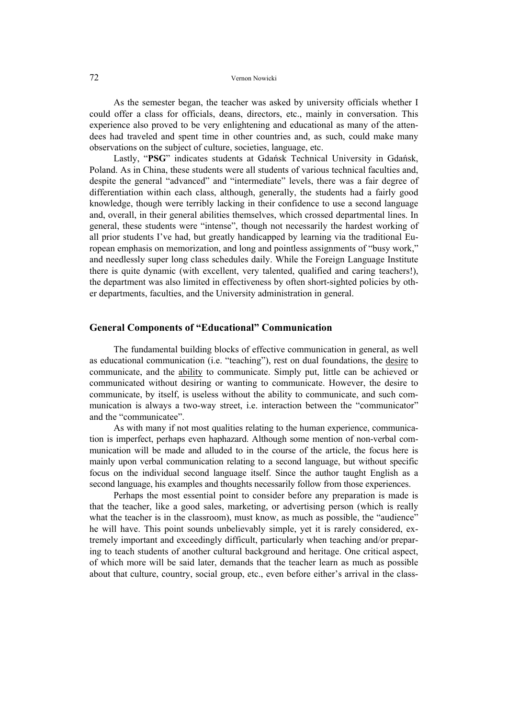#### 72 Vernon Nowicki

As the semester began, the teacher was asked by university officials whether I could offer a class for officials, deans, directors, etc., mainly in conversation. This experience also proved to be very enlightening and educational as many of the attendees had traveled and spent time in other countries and, as such, could make many observations on the subject of culture, societies, language, etc.

Lastly, "**PSG**" indicates students at Gdańsk Technical University in Gdańsk, Poland. As in China, these students were all students of various technical faculties and, despite the general "advanced" and "intermediate" levels, there was a fair degree of differentiation within each class, although, generally, the students had a fairly good knowledge, though were terribly lacking in their confidence to use a second language and, overall, in their general abilities themselves, which crossed departmental lines. In general, these students were "intense", though not necessarily the hardest working of all prior students I've had, but greatly handicapped by learning via the traditional European emphasis on memorization, and long and pointless assignments of "busy work," and needlessly super long class schedules daily. While the Foreign Language Institute there is quite dynamic (with excellent, very talented, qualified and caring teachers!), the department was also limited in effectiveness by often short-sighted policies by other departments, faculties, and the University administration in general.

#### **General Components of "Educational" Communication**

The fundamental building blocks of effective communication in general, as well as educational communication (i.e. "teaching"), rest on dual foundations, the desire to communicate, and the ability to communicate. Simply put, little can be achieved or communicated without desiring or wanting to communicate. However, the desire to communicate, by itself, is useless without the ability to communicate, and such communication is always a two-way street, i.e. interaction between the "communicator" and the "communicatee".

As with many if not most qualities relating to the human experience, communication is imperfect, perhaps even haphazard. Although some mention of non-verbal communication will be made and alluded to in the course of the article, the focus here is mainly upon verbal communication relating to a second language, but without specific focus on the individual second language itself. Since the author taught English as a second language, his examples and thoughts necessarily follow from those experiences.

Perhaps the most essential point to consider before any preparation is made is that the teacher, like a good sales, marketing, or advertising person (which is really what the teacher is in the classroom), must know, as much as possible, the "audience" he will have. This point sounds unbelievably simple, yet it is rarely considered, extremely important and exceedingly difficult, particularly when teaching and/or preparing to teach students of another cultural background and heritage. One critical aspect, of which more will be said later, demands that the teacher learn as much as possible about that culture, country, social group, etc., even before either's arrival in the class-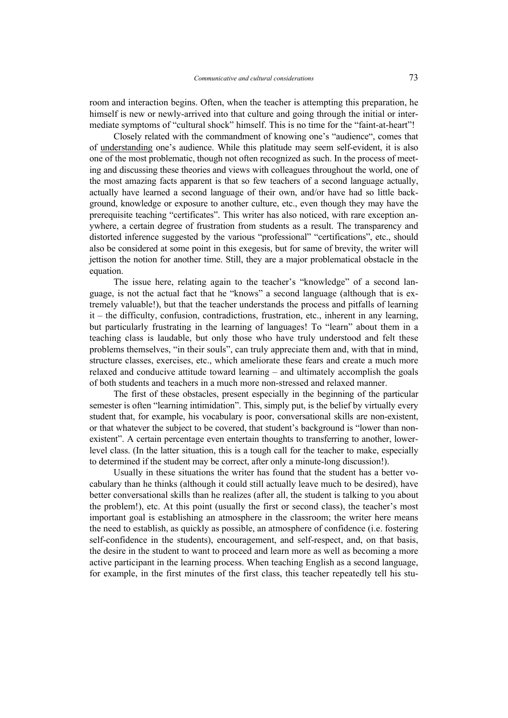room and interaction begins. Often, when the teacher is attempting this preparation, he himself is new or newly-arrived into that culture and going through the initial or intermediate symptoms of "cultural shock" himself. This is no time for the "faint-at-heart"!

Closely related with the commandment of knowing one's "audience", comes that of understanding one's audience. While this platitude may seem self-evident, it is also one of the most problematic, though not often recognized as such. In the process of meeting and discussing these theories and views with colleagues throughout the world, one of the most amazing facts apparent is that so few teachers of a second language actually, actually have learned a second language of their own, and/or have had so little background, knowledge or exposure to another culture, etc., even though they may have the prerequisite teaching "certificates". This writer has also noticed, with rare exception anywhere, a certain degree of frustration from students as a result. The transparency and distorted inference suggested by the various "professional" "certifications", etc., should also be considered at some point in this exegesis, but for same of brevity, the writer will jettison the notion for another time. Still, they are a major problematical obstacle in the equation.

The issue here, relating again to the teacher's "knowledge" of a second language, is not the actual fact that he "knows" a second language (although that is extremely valuable!), but that the teacher understands the process and pitfalls of learning it – the difficulty, confusion, contradictions, frustration, etc., inherent in any learning, but particularly frustrating in the learning of languages! To "learn" about them in a teaching class is laudable, but only those who have truly understood and felt these problems themselves, "in their souls", can truly appreciate them and, with that in mind, structure classes, exercises, etc., which ameliorate these fears and create a much more relaxed and conducive attitude toward learning – and ultimately accomplish the goals of both students and teachers in a much more non-stressed and relaxed manner.

The first of these obstacles, present especially in the beginning of the particular semester is often "learning intimidation". This, simply put, is the belief by virtually every student that, for example, his vocabulary is poor, conversational skills are non-existent, or that whatever the subject to be covered, that student's background is "lower than nonexistent". A certain percentage even entertain thoughts to transferring to another, lowerlevel class. (In the latter situation, this is a tough call for the teacher to make, especially to determined if the student may be correct, after only a minute-long discussion!).

Usually in these situations the writer has found that the student has a better vocabulary than he thinks (although it could still actually leave much to be desired), have better conversational skills than he realizes (after all, the student is talking to you about the problem!), etc. At this point (usually the first or second class), the teacher's most important goal is establishing an atmosphere in the classroom; the writer here means the need to establish, as quickly as possible, an atmosphere of confidence (i.e. fostering self-confidence in the students), encouragement, and self-respect, and, on that basis, the desire in the student to want to proceed and learn more as well as becoming a more active participant in the learning process. When teaching English as a second language, for example, in the first minutes of the first class, this teacher repeatedly tell his stu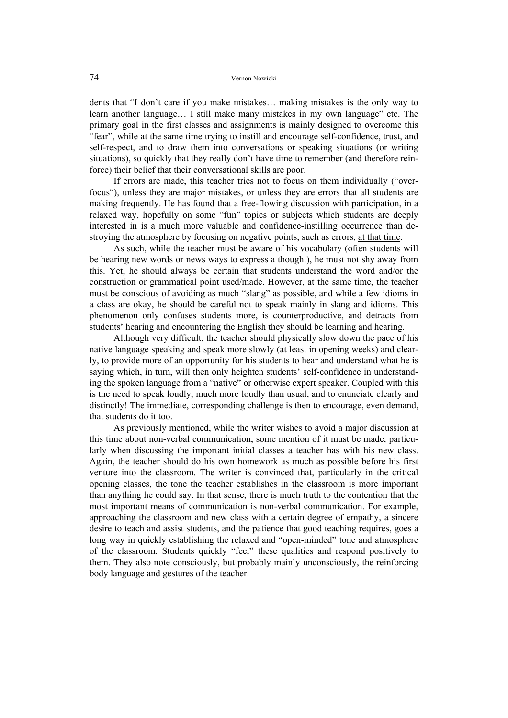dents that "I don't care if you make mistakes… making mistakes is the only way to learn another language… I still make many mistakes in my own language" etc. The primary goal in the first classes and assignments is mainly designed to overcome this "fear", while at the same time trying to instill and encourage self-confidence, trust, and self-respect, and to draw them into conversations or speaking situations (or writing situations), so quickly that they really don't have time to remember (and therefore reinforce) their belief that their conversational skills are poor.

If errors are made, this teacher tries not to focus on them individually ("overfocus"), unless they are major mistakes, or unless they are errors that all students are making frequently. He has found that a free-flowing discussion with participation, in a relaxed way, hopefully on some "fun" topics or subjects which students are deeply interested in is a much more valuable and confidence-instilling occurrence than destroying the atmosphere by focusing on negative points, such as errors, at that time.

As such, while the teacher must be aware of his vocabulary (often students will be hearing new words or news ways to express a thought), he must not shy away from this. Yet, he should always be certain that students understand the word and/or the construction or grammatical point used/made. However, at the same time, the teacher must be conscious of avoiding as much "slang" as possible, and while a few idioms in a class are okay, he should be careful not to speak mainly in slang and idioms. This phenomenon only confuses students more, is counterproductive, and detracts from students' hearing and encountering the English they should be learning and hearing.

Although very difficult, the teacher should physically slow down the pace of his native language speaking and speak more slowly (at least in opening weeks) and clearly, to provide more of an opportunity for his students to hear and understand what he is saying which, in turn, will then only heighten students' self-confidence in understanding the spoken language from a "native" or otherwise expert speaker. Coupled with this is the need to speak loudly, much more loudly than usual, and to enunciate clearly and distinctly! The immediate, corresponding challenge is then to encourage, even demand, that students do it too.

As previously mentioned, while the writer wishes to avoid a major discussion at this time about non-verbal communication, some mention of it must be made, particularly when discussing the important initial classes a teacher has with his new class. Again, the teacher should do his own homework as much as possible before his first venture into the classroom. The writer is convinced that, particularly in the critical opening classes, the tone the teacher establishes in the classroom is more important than anything he could say. In that sense, there is much truth to the contention that the most important means of communication is non-verbal communication. For example, approaching the classroom and new class with a certain degree of empathy, a sincere desire to teach and assist students, and the patience that good teaching requires, goes a long way in quickly establishing the relaxed and "open-minded" tone and atmosphere of the classroom. Students quickly "feel" these qualities and respond positively to them. They also note consciously, but probably mainly unconsciously, the reinforcing body language and gestures of the teacher.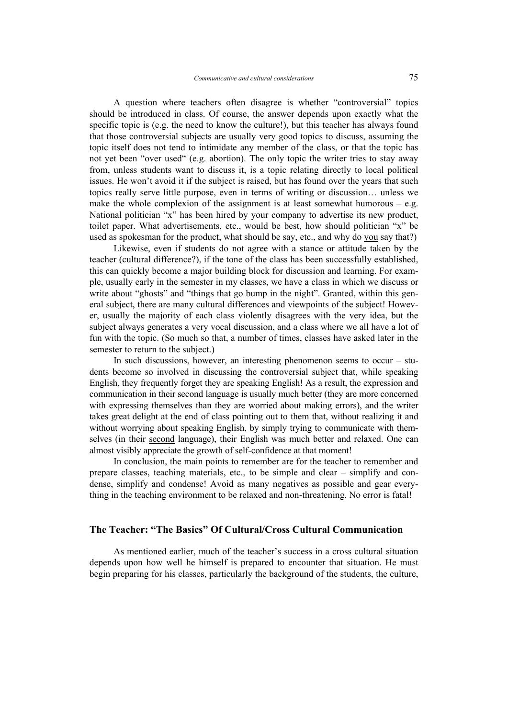A question where teachers often disagree is whether "controversial" topics should be introduced in class. Of course, the answer depends upon exactly what the specific topic is (e.g. the need to know the culture!), but this teacher has always found that those controversial subjects are usually very good topics to discuss, assuming the topic itself does not tend to intimidate any member of the class, or that the topic has not yet been "over used" (e.g. abortion). The only topic the writer tries to stay away from, unless students want to discuss it, is a topic relating directly to local political issues. He won't avoid it if the subject is raised, but has found over the years that such topics really serve little purpose, even in terms of writing or discussion… unless we make the whole complexion of the assignment is at least somewhat humorous  $-$  e.g. National politician "x" has been hired by your company to advertise its new product, toilet paper. What advertisements, etc., would be best, how should politician "x" be used as spokesman for the product, what should be say, etc., and why do you say that?)

Likewise, even if students do not agree with a stance or attitude taken by the teacher (cultural difference?), if the tone of the class has been successfully established, this can quickly become a major building block for discussion and learning. For example, usually early in the semester in my classes, we have a class in which we discuss or write about "ghosts" and "things that go bump in the night". Granted, within this general subject, there are many cultural differences and viewpoints of the subject! However, usually the majority of each class violently disagrees with the very idea, but the subject always generates a very vocal discussion, and a class where we all have a lot of fun with the topic. (So much so that, a number of times, classes have asked later in the semester to return to the subject.)

In such discussions, however, an interesting phenomenon seems to occur – students become so involved in discussing the controversial subject that, while speaking English, they frequently forget they are speaking English! As a result, the expression and communication in their second language is usually much better (they are more concerned with expressing themselves than they are worried about making errors), and the writer takes great delight at the end of class pointing out to them that, without realizing it and without worrying about speaking English, by simply trying to communicate with themselves (in their second language), their English was much better and relaxed. One can almost visibly appreciate the growth of self-confidence at that moment!

In conclusion, the main points to remember are for the teacher to remember and prepare classes, teaching materials, etc., to be simple and clear – simplify and condense, simplify and condense! Avoid as many negatives as possible and gear everything in the teaching environment to be relaxed and non-threatening. No error is fatal!

# **The Teacher: "The Basics" Of Cultural/Cross Cultural Communication**

As mentioned earlier, much of the teacher's success in a cross cultural situation depends upon how well he himself is prepared to encounter that situation. He must begin preparing for his classes, particularly the background of the students, the culture,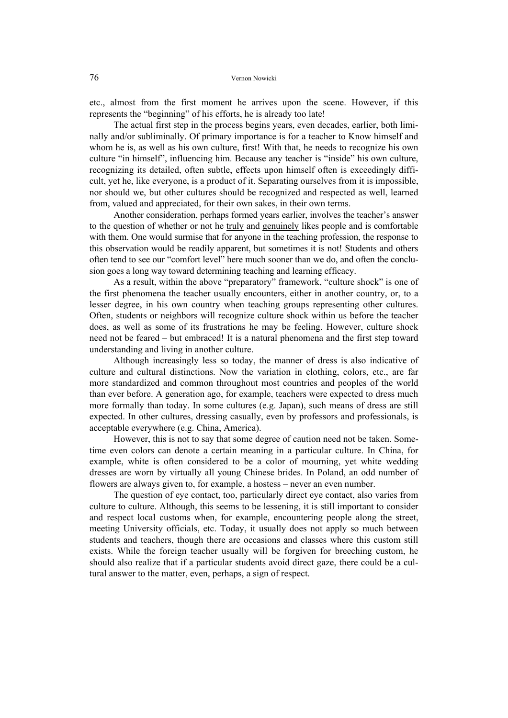etc., almost from the first moment he arrives upon the scene. However, if this represents the "beginning" of his efforts, he is already too late!

The actual first step in the process begins years, even decades, earlier, both liminally and/or subliminally. Of primary importance is for a teacher to Know himself and whom he is, as well as his own culture, first! With that, he needs to recognize his own culture "in himself", influencing him. Because any teacher is "inside" his own culture, recognizing its detailed, often subtle, effects upon himself often is exceedingly difficult, yet he, like everyone, is a product of it. Separating ourselves from it is impossible, nor should we, but other cultures should be recognized and respected as well, learned from, valued and appreciated, for their own sakes, in their own terms.

Another consideration, perhaps formed years earlier, involves the teacher's answer to the question of whether or not he truly and genuinely likes people and is comfortable with them. One would surmise that for anyone in the teaching profession, the response to this observation would be readily apparent, but sometimes it is not! Students and others often tend to see our "comfort level" here much sooner than we do, and often the conclusion goes a long way toward determining teaching and learning efficacy.

As a result, within the above "preparatory" framework, "culture shock" is one of the first phenomena the teacher usually encounters, either in another country, or, to a lesser degree, in his own country when teaching groups representing other cultures. Often, students or neighbors will recognize culture shock within us before the teacher does, as well as some of its frustrations he may be feeling. However, culture shock need not be feared – but embraced! It is a natural phenomena and the first step toward understanding and living in another culture.

Although increasingly less so today, the manner of dress is also indicative of culture and cultural distinctions. Now the variation in clothing, colors, etc., are far more standardized and common throughout most countries and peoples of the world than ever before. A generation ago, for example, teachers were expected to dress much more formally than today. In some cultures (e.g. Japan), such means of dress are still expected. In other cultures, dressing casually, even by professors and professionals, is acceptable everywhere (e.g. China, America).

However, this is not to say that some degree of caution need not be taken. Sometime even colors can denote a certain meaning in a particular culture. In China, for example, white is often considered to be a color of mourning, yet white wedding dresses are worn by virtually all young Chinese brides. In Poland, an odd number of flowers are always given to, for example, a hostess – never an even number.

The question of eye contact, too, particularly direct eye contact, also varies from culture to culture. Although, this seems to be lessening, it is still important to consider and respect local customs when, for example, encountering people along the street, meeting University officials, etc. Today, it usually does not apply so much between students and teachers, though there are occasions and classes where this custom still exists. While the foreign teacher usually will be forgiven for breeching custom, he should also realize that if a particular students avoid direct gaze, there could be a cultural answer to the matter, even, perhaps, a sign of respect.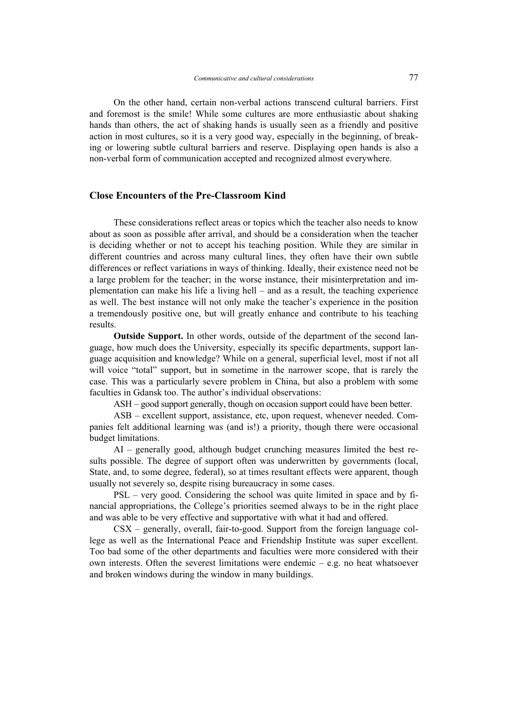On the other hand, certain non-verbal actions transcend cultural barriers. First and foremost is the smile! While some cultures are more enthusiastic about shaking hands than others, the act of shaking hands is usually seen as a friendly and positive action in most cultures, so it is a very good way, especially in the beginning, of breaking or lowering subtle cultural barriers and reserve. Displaying open hands is also a non-verbal form of communication accepted and recognized almost everywhere.

### **Close Encounters of the Pre-Classroom Kind**

These considerations reflect areas or topics which the teacher also needs to know about as soon as possible after arrival, and should be a consideration when the teacher is deciding whether or not to accept his teaching position. While they are similar in different countries and across many cultural lines, they often have their own subtle differences or reflect variations in ways of thinking. Ideally, their existence need not be a large problem for the teacher; in the worse instance, their misinterpretation and implementation can make his life a living hell – and as a result, the teaching experience as well. The best instance will not only make the teacher's experience in the position a tremendously positive one, but will greatly enhance and contribute to his teaching results.

**Outside Support.** In other words, outside of the department of the second language, how much does the University, especially its specific departments, support language acquisition and knowledge? While on a general, superficial level, most if not all will voice "total" support, but in sometime in the narrower scope, that is rarely the case. This was a particularly severe problem in China, but also a problem with some faculties in Gdansk too. The author's individual observations:

ASH – good support generally, though on occasion support could have been better.

ASB – excellent support, assistance, etc, upon request, whenever needed. Companies felt additional learning was (and is!) a priority, though there were occasional budget limitations.

AI – generally good, although budget crunching measures limited the best results possible. The degree of support often was underwritten by governments (local, State, and, to some degree, federal), so at times resultant effects were apparent, though usually not severely so, despite rising bureaucracy in some cases.

PSL – very good. Considering the school was quite limited in space and by financial appropriations, the College's priorities seemed always to be in the right place and was able to be very effective and supportative with what it had and offered.

CSX – generally, overall, fair-to-good. Support from the foreign language college as well as the International Peace and Friendship Institute was super excellent. Too bad some of the other departments and faculties were more considered with their own interests. Often the severest limitations were endemic  $-$  e.g. no heat whatsoever and broken windows during the window in many buildings.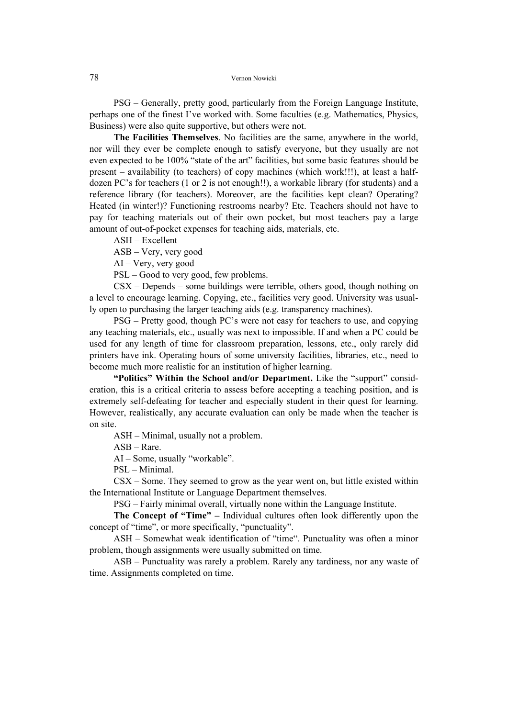PSG – Generally, pretty good, particularly from the Foreign Language Institute, perhaps one of the finest I've worked with. Some faculties (e.g. Mathematics, Physics, Business) were also quite supportive, but others were not.

**The Facilities Themselves**. No facilities are the same, anywhere in the world, nor will they ever be complete enough to satisfy everyone, but they usually are not even expected to be 100% "state of the art" facilities, but some basic features should be present – availability (to teachers) of copy machines (which work!!!), at least a halfdozen PC's for teachers (1 or 2 is not enough!!), a workable library (for students) and a reference library (for teachers). Moreover, are the facilities kept clean? Operating? Heated (in winter!)? Functioning restrooms nearby? Etc. Teachers should not have to pay for teaching materials out of their own pocket, but most teachers pay a large amount of out-of-pocket expenses for teaching aids, materials, etc.

ASH – Excellent

ASB – Very, very good

AI – Very, very good

PSL – Good to very good, few problems.

CSX – Depends – some buildings were terrible, others good, though nothing on a level to encourage learning. Copying, etc., facilities very good. University was usually open to purchasing the larger teaching aids (e.g. transparency machines).

PSG – Pretty good, though PC's were not easy for teachers to use, and copying any teaching materials, etc., usually was next to impossible. If and when a PC could be used for any length of time for classroom preparation, lessons, etc., only rarely did printers have ink. Operating hours of some university facilities, libraries, etc., need to become much more realistic for an institution of higher learning.

**"Politics" Within the School and/or Department.** Like the "support" consideration, this is a critical criteria to assess before accepting a teaching position, and is extremely self-defeating for teacher and especially student in their quest for learning. However, realistically, any accurate evaluation can only be made when the teacher is on site.

ASH – Minimal, usually not a problem.

ASB – Rare.

AI – Some, usually "workable".

PSL – Minimal.

CSX – Some. They seemed to grow as the year went on, but little existed within the International Institute or Language Department themselves.

PSG – Fairly minimal overall, virtually none within the Language Institute.

**The Concept of "Time" –** Individual cultures often look differently upon the concept of "time", or more specifically, "punctuality".

ASH – Somewhat weak identification of "time". Punctuality was often a minor problem, though assignments were usually submitted on time.

ASB – Punctuality was rarely a problem. Rarely any tardiness, nor any waste of time. Assignments completed on time.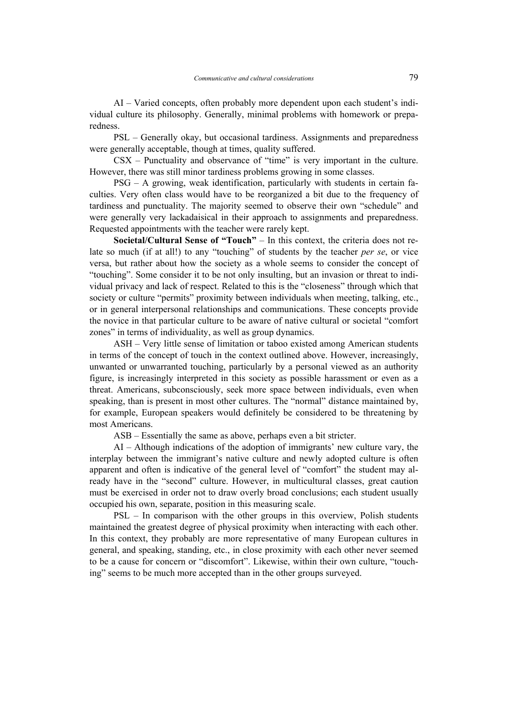AI – Varied concepts, often probably more dependent upon each student's individual culture its philosophy. Generally, minimal problems with homework or preparedness.

PSL – Generally okay, but occasional tardiness. Assignments and preparedness were generally acceptable, though at times, quality suffered.

CSX – Punctuality and observance of "time" is very important in the culture. However, there was still minor tardiness problems growing in some classes.

PSG – A growing, weak identification, particularly with students in certain faculties. Very often class would have to be reorganized a bit due to the frequency of tardiness and punctuality. The majority seemed to observe their own "schedule" and were generally very lackadaisical in their approach to assignments and preparedness. Requested appointments with the teacher were rarely kept.

**Societal/Cultural Sense of "Touch"** – In this context, the criteria does not relate so much (if at all!) to any "touching" of students by the teacher *per se*, or vice versa, but rather about how the society as a whole seems to consider the concept of "touching". Some consider it to be not only insulting, but an invasion or threat to individual privacy and lack of respect. Related to this is the "closeness" through which that society or culture "permits" proximity between individuals when meeting, talking, etc., or in general interpersonal relationships and communications. These concepts provide the novice in that particular culture to be aware of native cultural or societal "comfort zones" in terms of individuality, as well as group dynamics.

ASH – Very little sense of limitation or taboo existed among American students in terms of the concept of touch in the context outlined above. However, increasingly, unwanted or unwarranted touching, particularly by a personal viewed as an authority figure, is increasingly interpreted in this society as possible harassment or even as a threat. Americans, subconsciously, seek more space between individuals, even when speaking, than is present in most other cultures. The "normal" distance maintained by, for example, European speakers would definitely be considered to be threatening by most Americans.

ASB – Essentially the same as above, perhaps even a bit stricter.

AI – Although indications of the adoption of immigrants' new culture vary, the interplay between the immigrant's native culture and newly adopted culture is often apparent and often is indicative of the general level of "comfort" the student may already have in the "second" culture. However, in multicultural classes, great caution must be exercised in order not to draw overly broad conclusions; each student usually occupied his own, separate, position in this measuring scale.

PSL – In comparison with the other groups in this overview, Polish students maintained the greatest degree of physical proximity when interacting with each other. In this context, they probably are more representative of many European cultures in general, and speaking, standing, etc., in close proximity with each other never seemed to be a cause for concern or "discomfort". Likewise, within their own culture, "touching" seems to be much more accepted than in the other groups surveyed.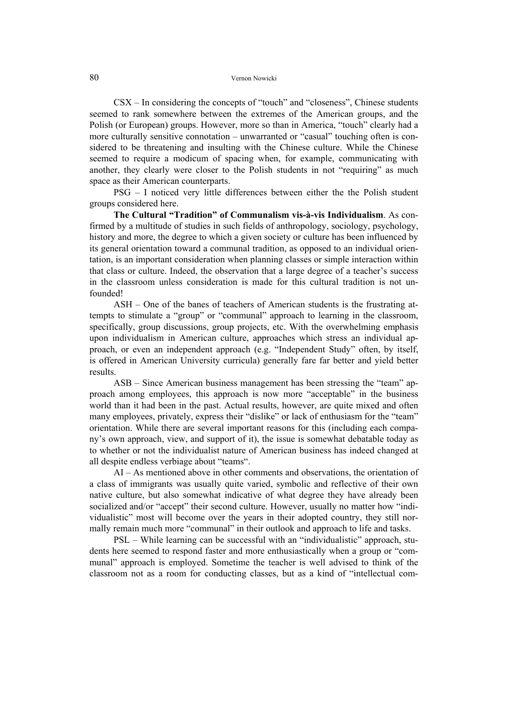CSX – In considering the concepts of "touch" and "closeness", Chinese students seemed to rank somewhere between the extremes of the American groups, and the Polish (or European) groups. However, more so than in America, "touch" clearly had a more culturally sensitive connotation – unwarranted or "casual" touching often is considered to be threatening and insulting with the Chinese culture. While the Chinese seemed to require a modicum of spacing when, for example, communicating with another, they clearly were closer to the Polish students in not "requiring" as much space as their American counterparts.

PSG – I noticed very little differences between either the the Polish student groups considered here.

**The Cultural "Tradition" of Communalism vis-à-vis Individualism**. As confirmed by a multitude of studies in such fields of anthropology, sociology, psychology, history and more, the degree to which a given society or culture has been influenced by its general orientation toward a communal tradition, as opposed to an individual orientation, is an important consideration when planning classes or simple interaction within that class or culture. Indeed, the observation that a large degree of a teacher's success in the classroom unless consideration is made for this cultural tradition is not unfounded!

ASH – One of the banes of teachers of American students is the frustrating attempts to stimulate a "group" or "communal" approach to learning in the classroom, specifically, group discussions, group projects, etc. With the overwhelming emphasis upon individualism in American culture, approaches which stress an individual approach, or even an independent approach (e.g. "Independent Study" often, by itself, is offered in American University curricula) generally fare far better and yield better results.

ASB – Since American business management has been stressing the "team" approach among employees, this approach is now more "acceptable" in the business world than it had been in the past. Actual results, however, are quite mixed and often many employees, privately, express their "dislike" or lack of enthusiasm for the "team" orientation. While there are several important reasons for this (including each company's own approach, view, and support of it), the issue is somewhat debatable today as to whether or not the individualist nature of American business has indeed changed at all despite endless verbiage about "teams".

AI – As mentioned above in other comments and observations, the orientation of a class of immigrants was usually quite varied, symbolic and reflective of their own native culture, but also somewhat indicative of what degree they have already been socialized and/or "accept" their second culture. However, usually no matter how "individualistic" most will become over the years in their adopted country, they still normally remain much more "communal" in their outlook and approach to life and tasks.

PSL – While learning can be successful with an "individualistic" approach, students here seemed to respond faster and more enthusiastically when a group or "communal" approach is employed. Sometime the teacher is well advised to think of the classroom not as a room for conducting classes, but as a kind of "intellectual com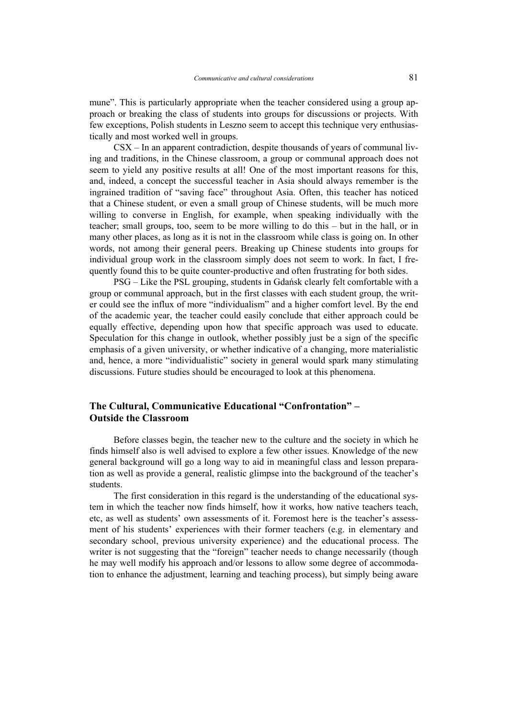mune". This is particularly appropriate when the teacher considered using a group approach or breaking the class of students into groups for discussions or projects. With few exceptions, Polish students in Leszno seem to accept this technique very enthusiastically and most worked well in groups.

CSX – In an apparent contradiction, despite thousands of years of communal living and traditions, in the Chinese classroom, a group or communal approach does not seem to yield any positive results at all! One of the most important reasons for this, and, indeed, a concept the successful teacher in Asia should always remember is the ingrained tradition of "saving face" throughout Asia. Often, this teacher has noticed that a Chinese student, or even a small group of Chinese students, will be much more willing to converse in English, for example, when speaking individually with the teacher; small groups, too, seem to be more willing to do this – but in the hall, or in many other places, as long as it is not in the classroom while class is going on. In other words, not among their general peers. Breaking up Chinese students into groups for individual group work in the classroom simply does not seem to work. In fact, I frequently found this to be quite counter-productive and often frustrating for both sides.

PSG – Like the PSL grouping, students in Gdańsk clearly felt comfortable with a group or communal approach, but in the first classes with each student group, the writer could see the influx of more "individualism" and a higher comfort level. By the end of the academic year, the teacher could easily conclude that either approach could be equally effective, depending upon how that specific approach was used to educate. Speculation for this change in outlook, whether possibly just be a sign of the specific emphasis of a given university, or whether indicative of a changing, more materialistic and, hence, a more "individualistic" society in general would spark many stimulating discussions. Future studies should be encouraged to look at this phenomena.

# **The Cultural, Communicative Educational "Confrontation" – Outside the Classroom**

Before classes begin, the teacher new to the culture and the society in which he finds himself also is well advised to explore a few other issues. Knowledge of the new general background will go a long way to aid in meaningful class and lesson preparation as well as provide a general, realistic glimpse into the background of the teacher's students.

The first consideration in this regard is the understanding of the educational system in which the teacher now finds himself, how it works, how native teachers teach, etc, as well as students' own assessments of it. Foremost here is the teacher's assessment of his students' experiences with their former teachers (e.g. in elementary and secondary school, previous university experience) and the educational process. The writer is not suggesting that the "foreign" teacher needs to change necessarily (though he may well modify his approach and/or lessons to allow some degree of accommodation to enhance the adjustment, learning and teaching process), but simply being aware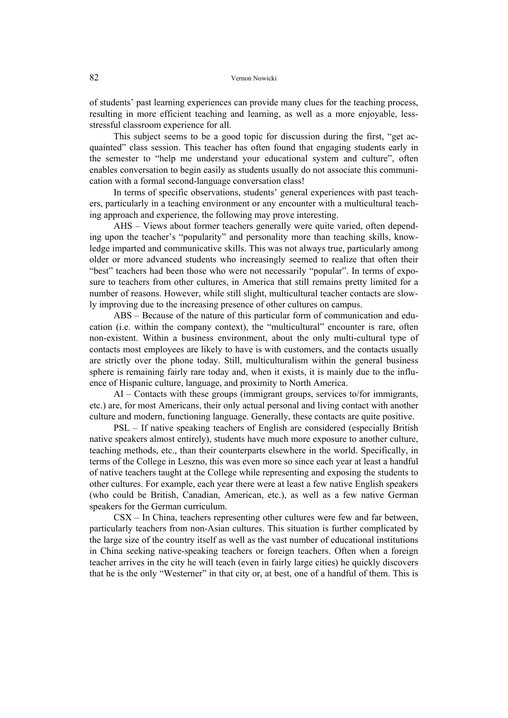of students' past learning experiences can provide many clues for the teaching process, resulting in more efficient teaching and learning, as well as a more enjoyable, lessstressful classroom experience for all.

This subject seems to be a good topic for discussion during the first, "get acquainted" class session. This teacher has often found that engaging students early in the semester to "help me understand your educational system and culture", often enables conversation to begin easily as students usually do not associate this communication with a formal second-language conversation class!

In terms of specific observations, students' general experiences with past teachers, particularly in a teaching environment or any encounter with a multicultural teaching approach and experience, the following may prove interesting.

AHS – Views about former teachers generally were quite varied, often depending upon the teacher's "popularity" and personality more than teaching skills, knowledge imparted and communicative skills. This was not always true, particularly among older or more advanced students who increasingly seemed to realize that often their "best" teachers had been those who were not necessarily "popular". In terms of exposure to teachers from other cultures, in America that still remains pretty limited for a number of reasons. However, while still slight, multicultural teacher contacts are slowly improving due to the increasing presence of other cultures on campus.

ABS – Because of the nature of this particular form of communication and education (i.e. within the company context), the "multicultural" encounter is rare, often non-existent. Within a business environment, about the only multi-cultural type of contacts most employees are likely to have is with customers, and the contacts usually are strictly over the phone today. Still, multiculturalism within the general business sphere is remaining fairly rare today and, when it exists, it is mainly due to the influence of Hispanic culture, language, and proximity to North America.

AI – Contacts with these groups (immigrant groups, services to/for immigrants, etc.) are, for most Americans, their only actual personal and living contact with another culture and modern, functioning language. Generally, these contacts are quite positive.

PSL – If native speaking teachers of English are considered (especially British native speakers almost entirely), students have much more exposure to another culture, teaching methods, etc., than their counterparts elsewhere in the world. Specifically, in terms of the College in Leszno, this was even more so since each year at least a handful of native teachers taught at the College while representing and exposing the students to other cultures. For example, each year there were at least a few native English speakers (who could be British, Canadian, American, etc.), as well as a few native German speakers for the German curriculum.

CSX – In China, teachers representing other cultures were few and far between, particularly teachers from non-Asian cultures. This situation is further complicated by the large size of the country itself as well as the vast number of educational institutions in China seeking native-speaking teachers or foreign teachers. Often when a foreign teacher arrives in the city he will teach (even in fairly large cities) he quickly discovers that he is the only "Westerner" in that city or, at best, one of a handful of them. This is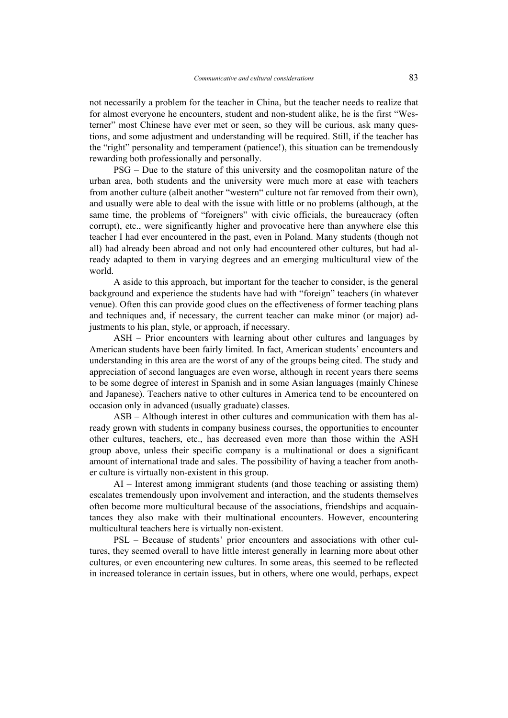not necessarily a problem for the teacher in China, but the teacher needs to realize that for almost everyone he encounters, student and non-student alike, he is the first "Westerner" most Chinese have ever met or seen, so they will be curious, ask many questions, and some adjustment and understanding will be required. Still, if the teacher has the "right" personality and temperament (patience!), this situation can be tremendously rewarding both professionally and personally.

PSG – Due to the stature of this university and the cosmopolitan nature of the urban area, both students and the university were much more at ease with teachers from another culture (albeit another "western" culture not far removed from their own), and usually were able to deal with the issue with little or no problems (although, at the same time, the problems of "foreigners" with civic officials, the bureaucracy (often corrupt), etc., were significantly higher and provocative here than anywhere else this teacher I had ever encountered in the past, even in Poland. Many students (though not all) had already been abroad and not only had encountered other cultures, but had already adapted to them in varying degrees and an emerging multicultural view of the world.

A aside to this approach, but important for the teacher to consider, is the general background and experience the students have had with "foreign" teachers (in whatever venue). Often this can provide good clues on the effectiveness of former teaching plans and techniques and, if necessary, the current teacher can make minor (or major) adjustments to his plan, style, or approach, if necessary.

ASH – Prior encounters with learning about other cultures and languages by American students have been fairly limited. In fact, American students' encounters and understanding in this area are the worst of any of the groups being cited. The study and appreciation of second languages are even worse, although in recent years there seems to be some degree of interest in Spanish and in some Asian languages (mainly Chinese and Japanese). Teachers native to other cultures in America tend to be encountered on occasion only in advanced (usually graduate) classes.

ASB – Although interest in other cultures and communication with them has already grown with students in company business courses, the opportunities to encounter other cultures, teachers, etc., has decreased even more than those within the ASH group above, unless their specific company is a multinational or does a significant amount of international trade and sales. The possibility of having a teacher from another culture is virtually non-existent in this group.

AI – Interest among immigrant students (and those teaching or assisting them) escalates tremendously upon involvement and interaction, and the students themselves often become more multicultural because of the associations, friendships and acquaintances they also make with their multinational encounters. However, encountering multicultural teachers here is virtually non-existent.

PSL – Because of students' prior encounters and associations with other cultures, they seemed overall to have little interest generally in learning more about other cultures, or even encountering new cultures. In some areas, this seemed to be reflected in increased tolerance in certain issues, but in others, where one would, perhaps, expect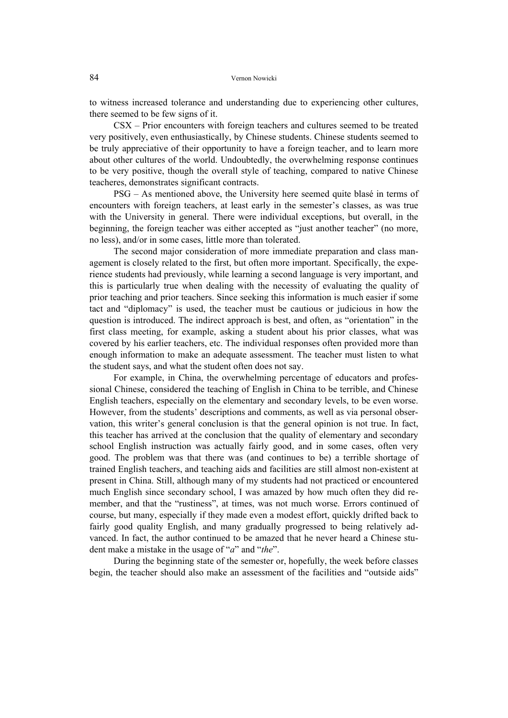to witness increased tolerance and understanding due to experiencing other cultures, there seemed to be few signs of it.

CSX – Prior encounters with foreign teachers and cultures seemed to be treated very positively, even enthusiastically, by Chinese students. Chinese students seemed to be truly appreciative of their opportunity to have a foreign teacher, and to learn more about other cultures of the world. Undoubtedly, the overwhelming response continues to be very positive, though the overall style of teaching, compared to native Chinese teacheres, demonstrates significant contracts.

PSG – As mentioned above, the University here seemed quite blasé in terms of encounters with foreign teachers, at least early in the semester's classes, as was true with the University in general. There were individual exceptions, but overall, in the beginning, the foreign teacher was either accepted as "just another teacher" (no more, no less), and/or in some cases, little more than tolerated.

The second major consideration of more immediate preparation and class management is closely related to the first, but often more important. Specifically, the experience students had previously, while learning a second language is very important, and this is particularly true when dealing with the necessity of evaluating the quality of prior teaching and prior teachers. Since seeking this information is much easier if some tact and "diplomacy" is used, the teacher must be cautious or judicious in how the question is introduced. The indirect approach is best, and often, as "orientation" in the first class meeting, for example, asking a student about his prior classes, what was covered by his earlier teachers, etc. The individual responses often provided more than enough information to make an adequate assessment. The teacher must listen to what the student says, and what the student often does not say.

For example, in China, the overwhelming percentage of educators and professional Chinese, considered the teaching of English in China to be terrible, and Chinese English teachers, especially on the elementary and secondary levels, to be even worse. However, from the students' descriptions and comments, as well as via personal observation, this writer's general conclusion is that the general opinion is not true. In fact, this teacher has arrived at the conclusion that the quality of elementary and secondary school English instruction was actually fairly good, and in some cases, often very good. The problem was that there was (and continues to be) a terrible shortage of trained English teachers, and teaching aids and facilities are still almost non-existent at present in China. Still, although many of my students had not practiced or encountered much English since secondary school, I was amazed by how much often they did remember, and that the "rustiness", at times, was not much worse. Errors continued of course, but many, especially if they made even a modest effort, quickly drifted back to fairly good quality English, and many gradually progressed to being relatively advanced. In fact, the author continued to be amazed that he never heard a Chinese student make a mistake in the usage of "*a*" and "*the*".

During the beginning state of the semester or, hopefully, the week before classes begin, the teacher should also make an assessment of the facilities and "outside aids"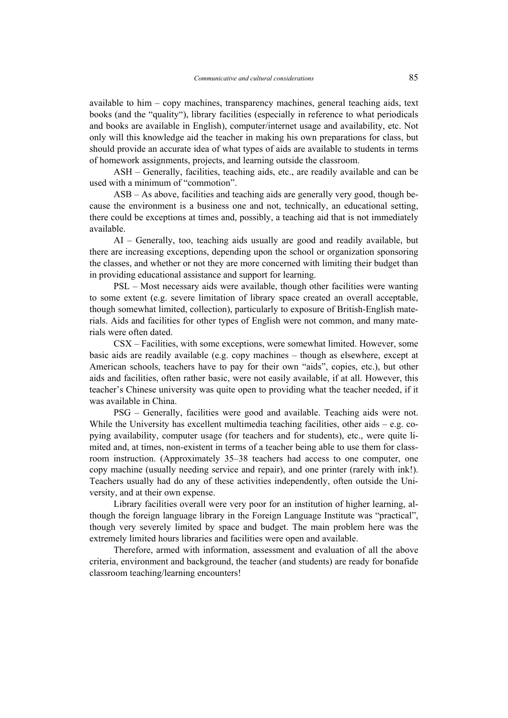available to him – copy machines, transparency machines, general teaching aids, text books (and the "quality"), library facilities (especially in reference to what periodicals and books are available in English), computer/internet usage and availability, etc. Not only will this knowledge aid the teacher in making his own preparations for class, but should provide an accurate idea of what types of aids are available to students in terms of homework assignments, projects, and learning outside the classroom.

ASH – Generally, facilities, teaching aids, etc., are readily available and can be used with a minimum of "commotion".

ASB – As above, facilities and teaching aids are generally very good, though because the environment is a business one and not, technically, an educational setting, there could be exceptions at times and, possibly, a teaching aid that is not immediately available.

AI – Generally, too, teaching aids usually are good and readily available, but there are increasing exceptions, depending upon the school or organization sponsoring the classes, and whether or not they are more concerned with limiting their budget than in providing educational assistance and support for learning.

PSL – Most necessary aids were available, though other facilities were wanting to some extent (e.g. severe limitation of library space created an overall acceptable, though somewhat limited, collection), particularly to exposure of British-English materials. Aids and facilities for other types of English were not common, and many materials were often dated.

CSX – Facilities, with some exceptions, were somewhat limited. However, some basic aids are readily available (e.g. copy machines – though as elsewhere, except at American schools, teachers have to pay for their own "aids", copies, etc.), but other aids and facilities, often rather basic, were not easily available, if at all. However, this teacher's Chinese university was quite open to providing what the teacher needed, if it was available in China.

PSG – Generally, facilities were good and available. Teaching aids were not. While the University has excellent multimedia teaching facilities, other aids – e.g. copying availability, computer usage (for teachers and for students), etc., were quite limited and, at times, non-existent in terms of a teacher being able to use them for classroom instruction. (Approximately 35–38 teachers had access to one computer, one copy machine (usually needing service and repair), and one printer (rarely with ink!). Teachers usually had do any of these activities independently, often outside the University, and at their own expense.

Library facilities overall were very poor for an institution of higher learning, although the foreign language library in the Foreign Language Institute was "practical", though very severely limited by space and budget. The main problem here was the extremely limited hours libraries and facilities were open and available.

Therefore, armed with information, assessment and evaluation of all the above criteria, environment and background, the teacher (and students) are ready for bonafide classroom teaching/learning encounters!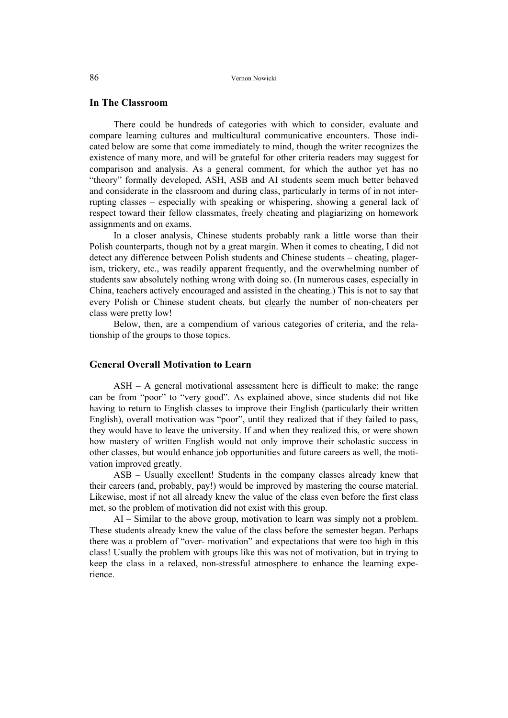### **In The Classroom**

There could be hundreds of categories with which to consider, evaluate and compare learning cultures and multicultural communicative encounters. Those indicated below are some that come immediately to mind, though the writer recognizes the existence of many more, and will be grateful for other criteria readers may suggest for comparison and analysis. As a general comment, for which the author yet has no "theory" formally developed, ASH, ASB and AI students seem much better behaved and considerate in the classroom and during class, particularly in terms of in not interrupting classes – especially with speaking or whispering, showing a general lack of respect toward their fellow classmates, freely cheating and plagiarizing on homework assignments and on exams.

In a closer analysis, Chinese students probably rank a little worse than their Polish counterparts, though not by a great margin. When it comes to cheating, I did not detect any difference between Polish students and Chinese students – cheating, plagerism, trickery, etc., was readily apparent frequently, and the overwhelming number of students saw absolutely nothing wrong with doing so. (In numerous cases, especially in China, teachers actively encouraged and assisted in the cheating.) This is not to say that every Polish or Chinese student cheats, but clearly the number of non-cheaters per class were pretty low!

Below, then, are a compendium of various categories of criteria, and the relationship of the groups to those topics.

#### **General Overall Motivation to Learn**

ASH – A general motivational assessment here is difficult to make; the range can be from "poor" to "very good". As explained above, since students did not like having to return to English classes to improve their English (particularly their written English), overall motivation was "poor", until they realized that if they failed to pass, they would have to leave the university. If and when they realized this, or were shown how mastery of written English would not only improve their scholastic success in other classes, but would enhance job opportunities and future careers as well, the motivation improved greatly.

ASB – Usually excellent! Students in the company classes already knew that their careers (and, probably, pay!) would be improved by mastering the course material. Likewise, most if not all already knew the value of the class even before the first class met, so the problem of motivation did not exist with this group.

AI – Similar to the above group, motivation to learn was simply not a problem. These students already knew the value of the class before the semester began. Perhaps there was a problem of "over- motivation" and expectations that were too high in this class! Usually the problem with groups like this was not of motivation, but in trying to keep the class in a relaxed, non-stressful atmosphere to enhance the learning experience.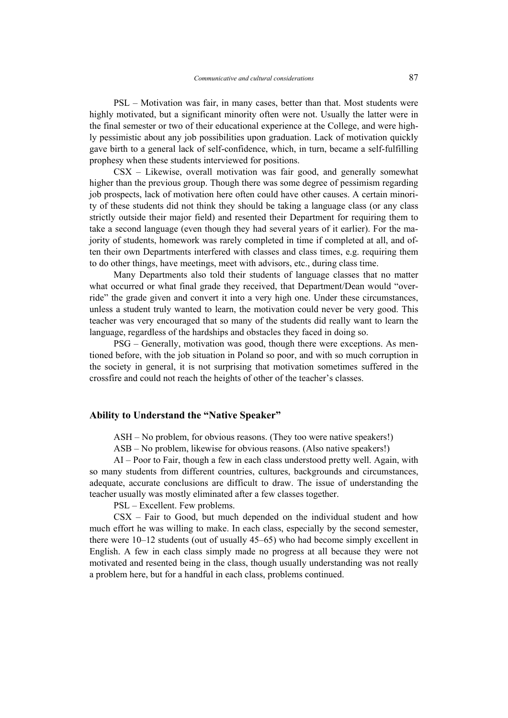PSL – Motivation was fair, in many cases, better than that. Most students were highly motivated, but a significant minority often were not. Usually the latter were in the final semester or two of their educational experience at the College, and were highly pessimistic about any job possibilities upon graduation. Lack of motivation quickly gave birth to a general lack of self-confidence, which, in turn, became a self-fulfilling prophesy when these students interviewed for positions.

CSX – Likewise, overall motivation was fair good, and generally somewhat higher than the previous group. Though there was some degree of pessimism regarding job prospects, lack of motivation here often could have other causes. A certain minority of these students did not think they should be taking a language class (or any class strictly outside their major field) and resented their Department for requiring them to take a second language (even though they had several years of it earlier). For the majority of students, homework was rarely completed in time if completed at all, and often their own Departments interfered with classes and class times, e.g. requiring them to do other things, have meetings, meet with advisors, etc., during class time.

Many Departments also told their students of language classes that no matter what occurred or what final grade they received, that Department/Dean would "override" the grade given and convert it into a very high one. Under these circumstances, unless a student truly wanted to learn, the motivation could never be very good. This teacher was very encouraged that so many of the students did really want to learn the language, regardless of the hardships and obstacles they faced in doing so.

PSG – Generally, motivation was good, though there were exceptions. As mentioned before, with the job situation in Poland so poor, and with so much corruption in the society in general, it is not surprising that motivation sometimes suffered in the crossfire and could not reach the heights of other of the teacher's classes.

### **Ability to Understand the "Native Speaker"**

ASH – No problem, for obvious reasons. (They too were native speakers!)

ASB – No problem, likewise for obvious reasons. (Also native speakers!)

AI – Poor to Fair, though a few in each class understood pretty well. Again, with so many students from different countries, cultures, backgrounds and circumstances, adequate, accurate conclusions are difficult to draw. The issue of understanding the teacher usually was mostly eliminated after a few classes together.

PSL – Excellent. Few problems.

CSX – Fair to Good, but much depended on the individual student and how much effort he was willing to make. In each class, especially by the second semester, there were 10–12 students (out of usually 45–65) who had become simply excellent in English. A few in each class simply made no progress at all because they were not motivated and resented being in the class, though usually understanding was not really a problem here, but for a handful in each class, problems continued.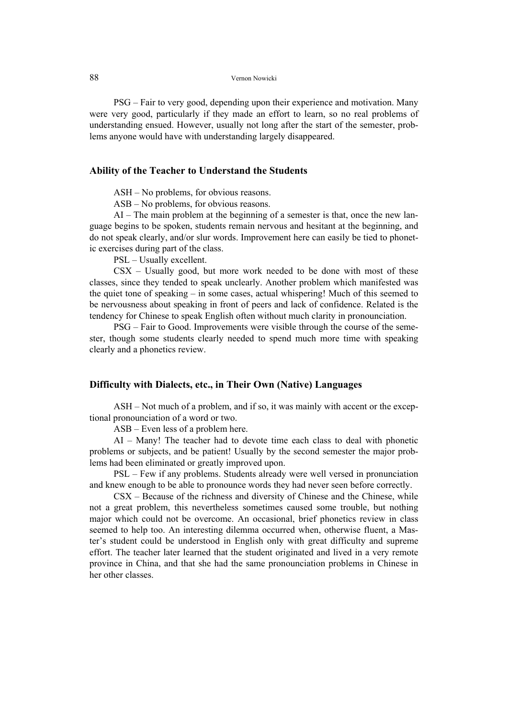#### 88 Vernon Nowicki

PSG – Fair to very good, depending upon their experience and motivation. Many were very good, particularly if they made an effort to learn, so no real problems of understanding ensued. However, usually not long after the start of the semester, problems anyone would have with understanding largely disappeared.

### **Ability of the Teacher to Understand the Students**

ASH – No problems, for obvious reasons.

ASB – No problems, for obvious reasons.

AI – The main problem at the beginning of a semester is that, once the new language begins to be spoken, students remain nervous and hesitant at the beginning, and do not speak clearly, and/or slur words. Improvement here can easily be tied to phonetic exercises during part of the class.

PSL – Usually excellent.

CSX – Usually good, but more work needed to be done with most of these classes, since they tended to speak unclearly. Another problem which manifested was the quiet tone of speaking – in some cases, actual whispering! Much of this seemed to be nervousness about speaking in front of peers and lack of confidence. Related is the tendency for Chinese to speak English often without much clarity in pronounciation.

PSG – Fair to Good. Improvements were visible through the course of the semester, though some students clearly needed to spend much more time with speaking clearly and a phonetics review.

#### **Difficulty with Dialects, etc., in Their Own (Native) Languages**

ASH – Not much of a problem, and if so, it was mainly with accent or the exceptional pronounciation of a word or two.

ASB – Even less of a problem here.

AI – Many! The teacher had to devote time each class to deal with phonetic problems or subjects, and be patient! Usually by the second semester the major problems had been eliminated or greatly improved upon.

PSL – Few if any problems. Students already were well versed in pronunciation and knew enough to be able to pronounce words they had never seen before correctly.

CSX – Because of the richness and diversity of Chinese and the Chinese, while not a great problem, this nevertheless sometimes caused some trouble, but nothing major which could not be overcome. An occasional, brief phonetics review in class seemed to help too. An interesting dilemma occurred when, otherwise fluent, a Master's student could be understood in English only with great difficulty and supreme effort. The teacher later learned that the student originated and lived in a very remote province in China, and that she had the same pronounciation problems in Chinese in her other classes.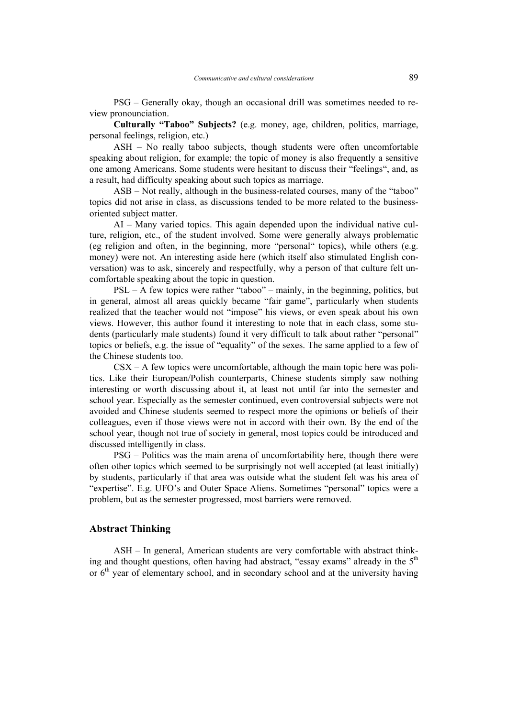PSG – Generally okay, though an occasional drill was sometimes needed to review pronounciation.

**Culturally "Taboo" Subjects?** (e.g. money, age, children, politics, marriage, personal feelings, religion, etc.)

ASH – No really taboo subjects, though students were often uncomfortable speaking about religion, for example; the topic of money is also frequently a sensitive one among Americans. Some students were hesitant to discuss their "feelings", and, as a result, had difficulty speaking about such topics as marriage.

ASB – Not really, although in the business-related courses, many of the "taboo" topics did not arise in class, as discussions tended to be more related to the businessoriented subject matter.

AI – Many varied topics. This again depended upon the individual native culture, religion, etc., of the student involved. Some were generally always problematic (eg religion and often, in the beginning, more "personal" topics), while others (e.g. money) were not. An interesting aside here (which itself also stimulated English conversation) was to ask, sincerely and respectfully, why a person of that culture felt uncomfortable speaking about the topic in question.

PSL – A few topics were rather "taboo" – mainly, in the beginning, politics, but in general, almost all areas quickly became "fair game", particularly when students realized that the teacher would not "impose" his views, or even speak about his own views. However, this author found it interesting to note that in each class, some students (particularly male students) found it very difficult to talk about rather "personal" topics or beliefs, e.g. the issue of "equality" of the sexes. The same applied to a few of the Chinese students too.

CSX – A few topics were uncomfortable, although the main topic here was politics. Like their European/Polish counterparts, Chinese students simply saw nothing interesting or worth discussing about it, at least not until far into the semester and school year. Especially as the semester continued, even controversial subjects were not avoided and Chinese students seemed to respect more the opinions or beliefs of their colleagues, even if those views were not in accord with their own. By the end of the school year, though not true of society in general, most topics could be introduced and discussed intelligently in class.

PSG – Politics was the main arena of uncomfortability here, though there were often other topics which seemed to be surprisingly not well accepted (at least initially) by students, particularly if that area was outside what the student felt was his area of "expertise". E.g. UFO's and Outer Space Aliens. Sometimes "personal" topics were a problem, but as the semester progressed, most barriers were removed.

### **Abstract Thinking**

ASH – In general, American students are very comfortable with abstract thinking and thought questions, often having had abstract, "essay exams" already in the  $5<sup>th</sup>$ or  $6<sup>th</sup>$  year of elementary school, and in secondary school and at the university having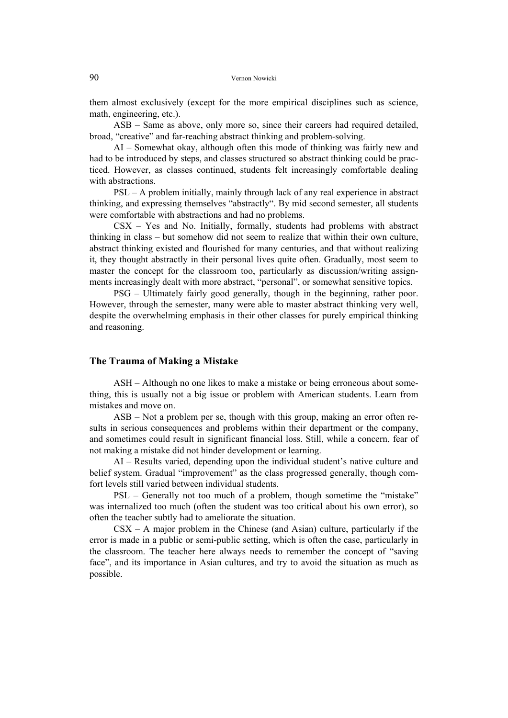them almost exclusively (except for the more empirical disciplines such as science, math, engineering, etc.).

ASB – Same as above, only more so, since their careers had required detailed, broad, "creative" and far-reaching abstract thinking and problem-solving.

AI – Somewhat okay, although often this mode of thinking was fairly new and had to be introduced by steps, and classes structured so abstract thinking could be practiced. However, as classes continued, students felt increasingly comfortable dealing with abstractions.

PSL – A problem initially, mainly through lack of any real experience in abstract thinking, and expressing themselves "abstractly". By mid second semester, all students were comfortable with abstractions and had no problems.

CSX – Yes and No. Initially, formally, students had problems with abstract thinking in class – but somehow did not seem to realize that within their own culture, abstract thinking existed and flourished for many centuries, and that without realizing it, they thought abstractly in their personal lives quite often. Gradually, most seem to master the concept for the classroom too, particularly as discussion/writing assignments increasingly dealt with more abstract, "personal", or somewhat sensitive topics.

PSG – Ultimately fairly good generally, though in the beginning, rather poor. However, through the semester, many were able to master abstract thinking very well, despite the overwhelming emphasis in their other classes for purely empirical thinking and reasoning.

# **The Trauma of Making a Mistake**

ASH – Although no one likes to make a mistake or being erroneous about something, this is usually not a big issue or problem with American students. Learn from mistakes and move on.

ASB – Not a problem per se, though with this group, making an error often results in serious consequences and problems within their department or the company, and sometimes could result in significant financial loss. Still, while a concern, fear of not making a mistake did not hinder development or learning.

AI – Results varied, depending upon the individual student's native culture and belief system. Gradual "improvement" as the class progressed generally, though comfort levels still varied between individual students.

PSL – Generally not too much of a problem, though sometime the "mistake" was internalized too much (often the student was too critical about his own error), so often the teacher subtly had to ameliorate the situation.

CSX – A major problem in the Chinese (and Asian) culture, particularly if the error is made in a public or semi-public setting, which is often the case, particularly in the classroom. The teacher here always needs to remember the concept of "saving face", and its importance in Asian cultures, and try to avoid the situation as much as possible.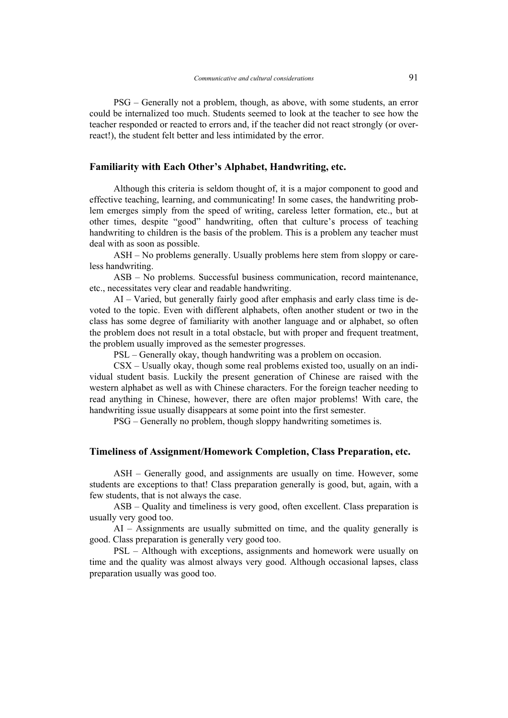PSG – Generally not a problem, though, as above, with some students, an error could be internalized too much. Students seemed to look at the teacher to see how the teacher responded or reacted to errors and, if the teacher did not react strongly (or overreact!), the student felt better and less intimidated by the error.

### **Familiarity with Each Other's Alphabet, Handwriting, etc.**

Although this criteria is seldom thought of, it is a major component to good and effective teaching, learning, and communicating! In some cases, the handwriting problem emerges simply from the speed of writing, careless letter formation, etc., but at other times, despite "good" handwriting, often that culture's process of teaching handwriting to children is the basis of the problem. This is a problem any teacher must deal with as soon as possible.

ASH – No problems generally. Usually problems here stem from sloppy or careless handwriting.

ASB – No problems. Successful business communication, record maintenance, etc., necessitates very clear and readable handwriting.

AI – Varied, but generally fairly good after emphasis and early class time is devoted to the topic. Even with different alphabets, often another student or two in the class has some degree of familiarity with another language and or alphabet, so often the problem does not result in a total obstacle, but with proper and frequent treatment, the problem usually improved as the semester progresses.

PSL – Generally okay, though handwriting was a problem on occasion.

CSX – Usually okay, though some real problems existed too, usually on an individual student basis. Luckily the present generation of Chinese are raised with the western alphabet as well as with Chinese characters. For the foreign teacher needing to read anything in Chinese, however, there are often major problems! With care, the handwriting issue usually disappears at some point into the first semester.

PSG – Generally no problem, though sloppy handwriting sometimes is.

#### **Timeliness of Assignment/Homework Completion, Class Preparation, etc.**

ASH – Generally good, and assignments are usually on time. However, some students are exceptions to that! Class preparation generally is good, but, again, with a few students, that is not always the case.

ASB – Quality and timeliness is very good, often excellent. Class preparation is usually very good too.

AI – Assignments are usually submitted on time, and the quality generally is good. Class preparation is generally very good too.

PSL – Although with exceptions, assignments and homework were usually on time and the quality was almost always very good. Although occasional lapses, class preparation usually was good too.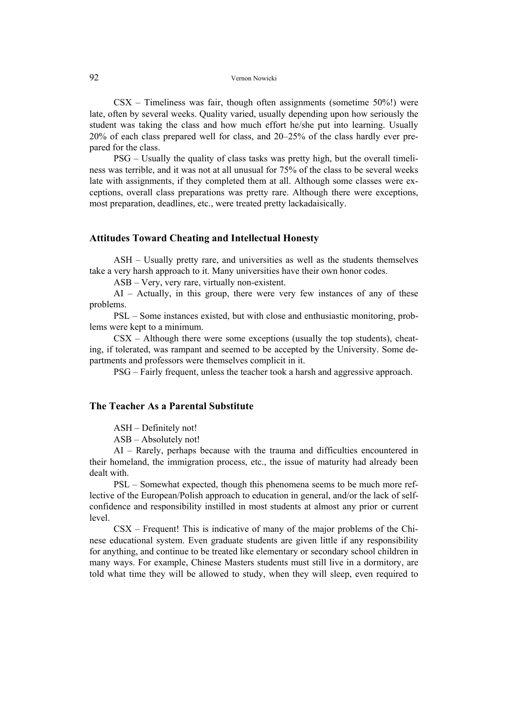#### 92 Vernon Nowicki

 $\text{CSX}$  – Timeliness was fair, though often assignments (sometime 50%!) were late, often by several weeks. Quality varied, usually depending upon how seriously the student was taking the class and how much effort he/she put into learning. Usually 20% of each class prepared well for class, and 20–25% of the class hardly ever prepared for the class.

PSG – Usually the quality of class tasks was pretty high, but the overall timeliness was terrible, and it was not at all unusual for 75% of the class to be several weeks late with assignments, if they completed them at all. Although some classes were exceptions, overall class preparations was pretty rare. Although there were exceptions, most preparation, deadlines, etc., were treated pretty lackadaisically.

### **Attitudes Toward Cheating and Intellectual Honesty**

ASH – Usually pretty rare, and universities as well as the students themselves take a very harsh approach to it. Many universities have their own honor codes.

ASB – Very, very rare, virtually non-existent.

AI – Actually, in this group, there were very few instances of any of these problems.

PSL – Some instances existed, but with close and enthusiastic monitoring, problems were kept to a minimum.

 $CSX$  – Although there were some exceptions (usually the top students), cheating, if tolerated, was rampant and seemed to be accepted by the University. Some departments and professors were themselves complicit in it.

PSG – Fairly frequent, unless the teacher took a harsh and aggressive approach.

# **The Teacher As a Parental Substitute**

ASH – Definitely not!

ASB – Absolutely not!

AI – Rarely, perhaps because with the trauma and difficulties encountered in their homeland, the immigration process, etc., the issue of maturity had already been dealt with.

PSL – Somewhat expected, though this phenomena seems to be much more reflective of the European/Polish approach to education in general, and/or the lack of selfconfidence and responsibility instilled in most students at almost any prior or current level.

 $\text{CSX}$  – Frequent! This is indicative of many of the major problems of the Chinese educational system. Even graduate students are given little if any responsibility for anything, and continue to be treated like elementary or secondary school children in many ways. For example, Chinese Masters students must still live in a dormitory, are told what time they will be allowed to study, when they will sleep, even required to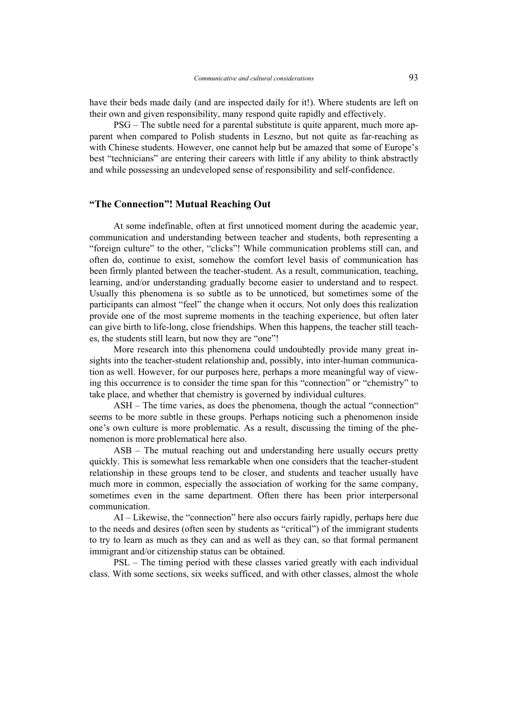have their beds made daily (and are inspected daily for it!). Where students are left on their own and given responsibility, many respond quite rapidly and effectively.

PSG – The subtle need for a parental substitute is quite apparent, much more apparent when compared to Polish students in Leszno, but not quite as far-reaching as with Chinese students. However, one cannot help but be amazed that some of Europe's best "technicians" are entering their careers with little if any ability to think abstractly and while possessing an undeveloped sense of responsibility and self-confidence.

### **"The Connection"! Mutual Reaching Out**

At some indefinable, often at first unnoticed moment during the academic year, communication and understanding between teacher and students, both representing a "foreign culture" to the other, "clicks"! While communication problems still can, and often do, continue to exist, somehow the comfort level basis of communication has been firmly planted between the teacher-student. As a result, communication, teaching, learning, and/or understanding gradually become easier to understand and to respect. Usually this phenomena is so subtle as to be unnoticed, but sometimes some of the participants can almost "feel" the change when it occurs. Not only does this realization provide one of the most supreme moments in the teaching experience, but often later can give birth to life-long, close friendships. When this happens, the teacher still teaches, the students still learn, but now they are "one"!

More research into this phenomena could undoubtedly provide many great insights into the teacher-student relationship and, possibly, into inter-human communication as well. However, for our purposes here, perhaps a more meaningful way of viewing this occurrence is to consider the time span for this "connection" or "chemistry" to take place, and whether that chemistry is governed by individual cultures.

ASH – The time varies, as does the phenomena, though the actual "connection" seems to be more subtle in these groups. Perhaps noticing such a phenomenon inside one's own culture is more problematic. As a result, discussing the timing of the phenomenon is more problematical here also.

ASB – The mutual reaching out and understanding here usually occurs pretty quickly. This is somewhat less remarkable when one considers that the teacher-student relationship in these groups tend to be closer, and students and teacher usually have much more in common, especially the association of working for the same company, sometimes even in the same department. Often there has been prior interpersonal communication.

AI – Likewise, the "connection" here also occurs fairly rapidly, perhaps here due to the needs and desires (often seen by students as "critical") of the immigrant students to try to learn as much as they can and as well as they can, so that formal permanent immigrant and/or citizenship status can be obtained.

PSL – The timing period with these classes varied greatly with each individual class. With some sections, six weeks sufficed, and with other classes, almost the whole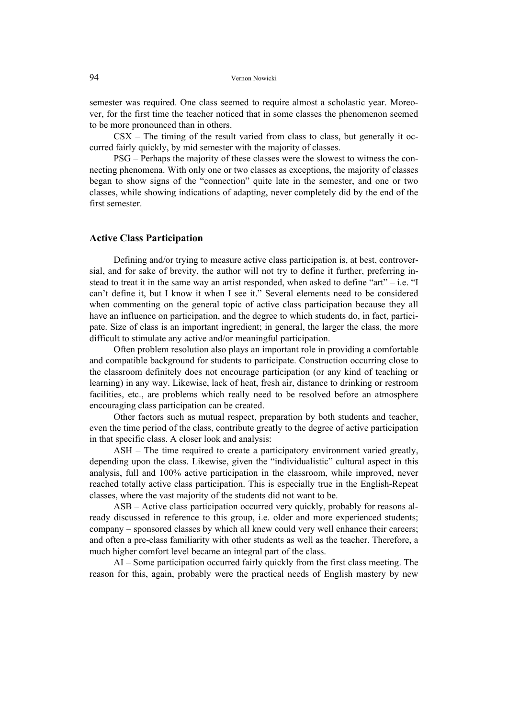semester was required. One class seemed to require almost a scholastic year. Moreover, for the first time the teacher noticed that in some classes the phenomenon seemed to be more pronounced than in others.

CSX – The timing of the result varied from class to class, but generally it occurred fairly quickly, by mid semester with the majority of classes.

PSG – Perhaps the majority of these classes were the slowest to witness the connecting phenomena. With only one or two classes as exceptions, the majority of classes began to show signs of the "connection" quite late in the semester, and one or two classes, while showing indications of adapting, never completely did by the end of the first semester.

### **Active Class Participation**

Defining and/or trying to measure active class participation is, at best, controversial, and for sake of brevity, the author will not try to define it further, preferring instead to treat it in the same way an artist responded, when asked to define "art" – i.e. "I can't define it, but I know it when I see it." Several elements need to be considered when commenting on the general topic of active class participation because they all have an influence on participation, and the degree to which students do, in fact, participate. Size of class is an important ingredient; in general, the larger the class, the more difficult to stimulate any active and/or meaningful participation.

Often problem resolution also plays an important role in providing a comfortable and compatible background for students to participate. Construction occurring close to the classroom definitely does not encourage participation (or any kind of teaching or learning) in any way. Likewise, lack of heat, fresh air, distance to drinking or restroom facilities, etc., are problems which really need to be resolved before an atmosphere encouraging class participation can be created.

Other factors such as mutual respect, preparation by both students and teacher, even the time period of the class, contribute greatly to the degree of active participation in that specific class. A closer look and analysis:

ASH – The time required to create a participatory environment varied greatly, depending upon the class. Likewise, given the "individualistic" cultural aspect in this analysis, full and 100% active participation in the classroom, while improved, never reached totally active class participation. This is especially true in the English-Repeat classes, where the vast majority of the students did not want to be.

ASB – Active class participation occurred very quickly, probably for reasons already discussed in reference to this group, i.e. older and more experienced students; company – sponsored classes by which all knew could very well enhance their careers; and often a pre-class familiarity with other students as well as the teacher. Therefore, a much higher comfort level became an integral part of the class.

AI – Some participation occurred fairly quickly from the first class meeting. The reason for this, again, probably were the practical needs of English mastery by new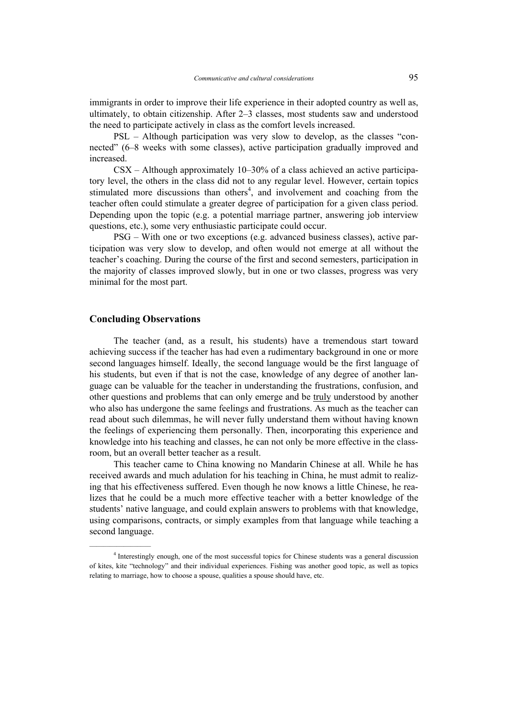immigrants in order to improve their life experience in their adopted country as well as, ultimately, to obtain citizenship. After 2–3 classes, most students saw and understood the need to participate actively in class as the comfort levels increased.

PSL – Although participation was very slow to develop, as the classes "connected" (6–8 weeks with some classes), active participation gradually improved and increased.

CSX – Although approximately 10–30% of a class achieved an active participatory level, the others in the class did not to any regular level. However, certain topics stimulated more discussions than others<sup>4</sup>, and involvement and coaching from the teacher often could stimulate a greater degree of participation for a given class period. Depending upon the topic (e.g. a potential marriage partner, answering job interview questions, etc.), some very enthusiastic participate could occur.

PSG – With one or two exceptions (e.g. advanced business classes), active participation was very slow to develop, and often would not emerge at all without the teacher's coaching. During the course of the first and second semesters, participation in the majority of classes improved slowly, but in one or two classes, progress was very minimal for the most part.

### **Concluding Observations**

 $\mathcal{L}=\mathcal{L}^{\mathcal{L}}$  , where  $\mathcal{L}^{\mathcal{L}}$  , we have the set of the set of the set of the set of the set of the set of the set of the set of the set of the set of the set of the set of the set of the set of the set of

The teacher (and, as a result, his students) have a tremendous start toward achieving success if the teacher has had even a rudimentary background in one or more second languages himself. Ideally, the second language would be the first language of his students, but even if that is not the case, knowledge of any degree of another language can be valuable for the teacher in understanding the frustrations, confusion, and other questions and problems that can only emerge and be truly understood by another who also has undergone the same feelings and frustrations. As much as the teacher can read about such dilemmas, he will never fully understand them without having known the feelings of experiencing them personally. Then, incorporating this experience and knowledge into his teaching and classes, he can not only be more effective in the classroom, but an overall better teacher as a result.

This teacher came to China knowing no Mandarin Chinese at all. While he has received awards and much adulation for his teaching in China, he must admit to realizing that his effectiveness suffered. Even though he now knows a little Chinese, he realizes that he could be a much more effective teacher with a better knowledge of the students' native language, and could explain answers to problems with that knowledge, using comparisons, contracts, or simply examples from that language while teaching a second language.

<sup>&</sup>lt;sup>4</sup> Interestingly enough, one of the most successful topics for Chinese students was a general discussion of kites, kite "technology" and their individual experiences. Fishing was another good topic, as well as topics relating to marriage, how to choose a spouse, qualities a spouse should have, etc.